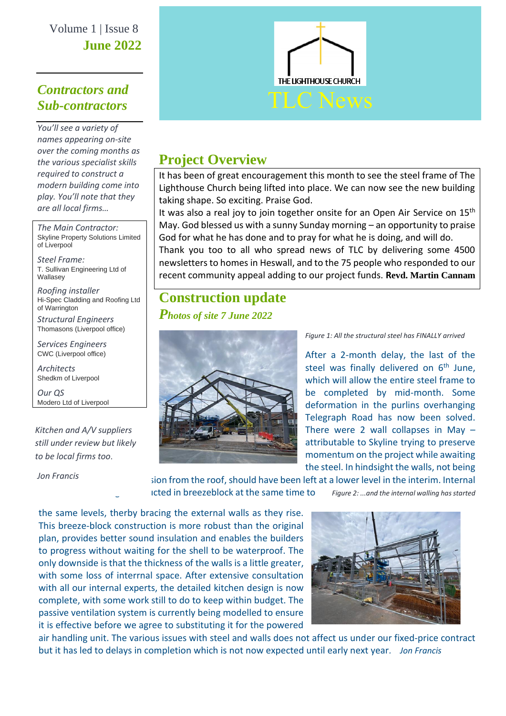Volume 1 | Issue 8 **June 2022**

### *Contractors and Sub-contractors*

*You'll see a variety of names appearing on-site over the coming months as the various specialist skills required to construct a modern building come into play. You'll note that they are all local firms…*

*The Main Contractor:* Skyline Property Solutions Limited of Liverpool

*Steel Frame:* T. Sullivan Engineering Ltd of Wallasey

*Roofing installer* Hi-Spec Cladding and Roofing Ltd of Warrington

*Structural Engineers* Thomasons (Liverpool office)

*Services Engineers* CWC (Liverpool office)

*Architects* Shedkm of Liverpool

*Our QS* Modero Ltd of Liverpool

*Kitchen and A/V suppliers still under review but likely to be local firms too*.

*Jon Francis*



### **Project Overview**

It has been of great encouragement this month to see the steel frame of The Lighthouse Church being lifted into place. We can now see the new building taking shape. So exciting. Praise God.

It was also a real joy to join together onsite for an Open Air Service on  $15<sup>th</sup>$ May. God blessed us with a sunny Sunday morning – an opportunity to praise God for what he has done and to pray for what he is doing, and will do. Thank you too to all who spread news of TLC by delivering some 4500 newsletters to homes in Heswall, and to the 75 people who responded to our recent community appeal adding to our project funds. **Revd. Martin Cannam**

# **Construction update**

*Photos of site 7 June 2022*



*Figure 1: All the structural steel has FINALLY arrived*

After a 2-month delay, the last of the steel was finally delivered on  $6<sup>th</sup>$  June, which will allow the entire steel frame to be completed by mid-month. Some deformation in the purlins overhanging Telegraph Road has now been solved. There were 2 wall collapses in May  $$ attributable to Skyline trying to preserve momentum on the project while awaiting the steel. In hindsight the walls, not being

sion from the roof, should have been left at a lower level in the interim. Internal Icted in breezeblock at the same time to *Figure 2: ...and the internal walling has started* 

the same levels, therby bracing the external walls as they rise. This breeze-block construction is more robust than the original plan, provides better sound insulation and enables the builders to progress without waiting for the shell to be waterproof. The only downside is that the thickness of the walls is a little greater, with some loss of interrnal space. After extensive consultation with all our internal experts, the detailed kitchen design is now complete, with some work still to do to keep within budget. The passive ventilation system is currently being modelled to ensure it is effective before we agree to substituting it for the powered



air handling unit. The various issues with steel and walls does not affect us under our fixed-price contract but it has led to delays in completion which is not now expected until early next year*. Jon Francis*